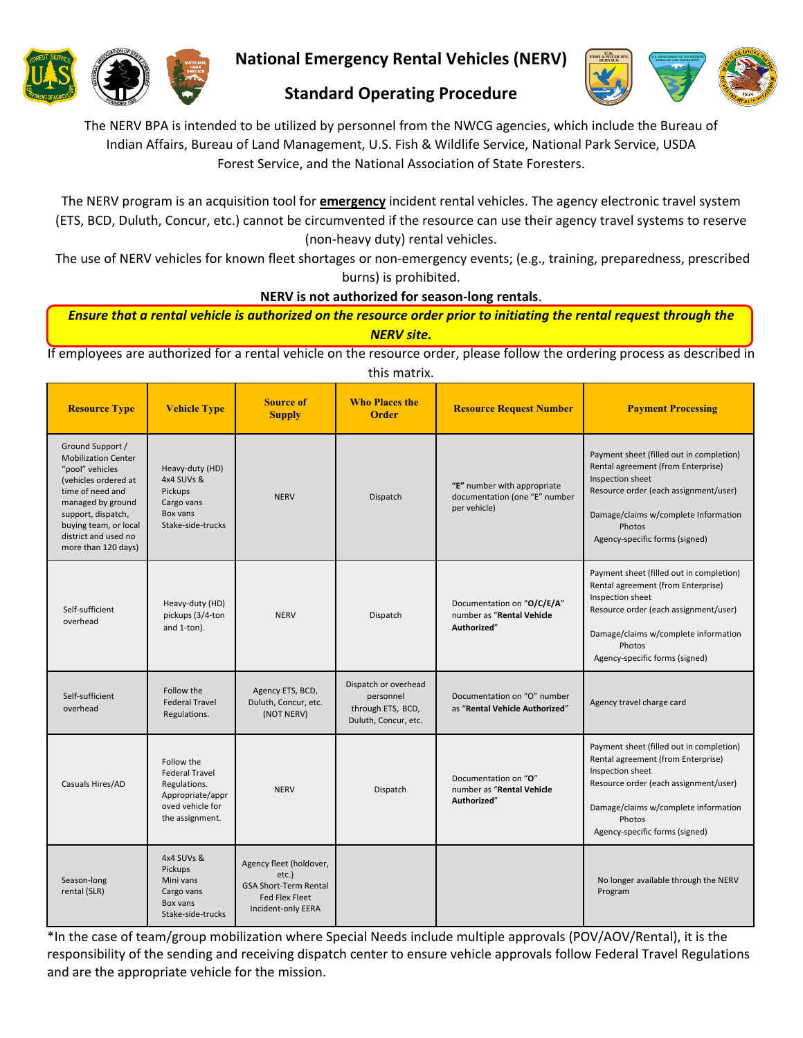

**National Emergency Rental Vehicles (NERV)**



# **Standard Operating Procedure**

The NERV BPA is intended to be utilized by personnel from the NWCG agencies, which include the Bureau of Indian Affairs, Bureau of Land Management, U.S. Fish & Wildlife Service, National Park Service, USDA Forest Service, and the National Association of State Foresters.

The NERV program is an acquisition tool for **emergency** incident rental vehicles. The agency electronic travel system (ETS, BCD, Duluth, Concur, etc.) cannot be circumvented if the resource can use their agency travel systems to reserve (non-heavy duty) rental vehicles.

The use of NERV vehicles for known fleet shortages or non-emergency events; (e.g., training, preparedness, prescribed burns) is prohibited.

**NERV is not authorized for season-long rentals**.

<sup>a</sup>*Ensure that a rental vehicle is authorized on the resource order prior to initiating the rental request through the NERV site.* 

If employees are authorized for a rental vehicle on the resource order, please follow the ordering process as described in this matrix.

| <b>Resource Type</b>                                                                                                                                                                                                             | <b>Vehicle Type</b>                                                                                            | <b>Source of</b><br><b>Supply</b>                                                                               | <b>Who Places the</b><br><b>Order</b>                                          | <b>Resource Request Number</b>                                               | <b>Payment Processing</b>                                                                                                                                                                                                       |
|----------------------------------------------------------------------------------------------------------------------------------------------------------------------------------------------------------------------------------|----------------------------------------------------------------------------------------------------------------|-----------------------------------------------------------------------------------------------------------------|--------------------------------------------------------------------------------|------------------------------------------------------------------------------|---------------------------------------------------------------------------------------------------------------------------------------------------------------------------------------------------------------------------------|
| Ground Support /<br><b>Mobilization Center</b><br>"pool" vehicles<br>(vehicles ordered at<br>time of need and<br>managed by ground<br>support, dispatch,<br>buying team, or local<br>district and used no<br>more than 120 days) | Heavy-duty (HD)<br>4x4 SUVs &<br>Pickups<br>Cargo vans<br>Box vans<br>Stake-side-trucks                        | <b>NERV</b>                                                                                                     | Dispatch                                                                       | "E" number with appropriate<br>documentation (one "E" number<br>per vehicle) | Payment sheet (filled out in completion)<br>Rental agreement (from Enterprise)<br>Inspection sheet<br>Resource order (each assignment/user)<br>Damage/claims w/complete Information<br>Photos<br>Agency-specific forms (signed) |
| Self-sufficient<br>overhead                                                                                                                                                                                                      | Heavy-duty (HD)<br>pickups (3/4-ton<br>and 1-ton).                                                             | <b>NERV</b>                                                                                                     | Dispatch                                                                       | Documentation on "O/C/E/A"<br>number as "Rental Vehicle<br>Authorized"       | Payment sheet (filled out in completion)<br>Rental agreement (from Enterprise)<br>Inspection sheet<br>Resource order (each assignment/user)<br>Damage/claims w/complete information<br>Photos<br>Agency-specific forms (signed) |
| Self-sufficient<br>overhead                                                                                                                                                                                                      | Follow the<br><b>Federal Travel</b><br>Regulations.                                                            | Agency ETS, BCD,<br>Duluth, Concur, etc.<br>(NOT NERV)                                                          | Dispatch or overhead<br>personnel<br>through ETS, BCD,<br>Duluth, Concur, etc. | Documentation on "O" number<br>as "Rental Vehicle Authorized"                | Agency travel charge card                                                                                                                                                                                                       |
| Casuals Hires/AD                                                                                                                                                                                                                 | Follow the<br><b>Federal Travel</b><br>Regulations.<br>Appropriate/appr<br>oved vehicle for<br>the assignment. | <b>NERV</b>                                                                                                     | Dispatch                                                                       | Documentation on "O"<br>number as "Rental Vehicle<br>Authorized"             | Payment sheet (filled out in completion)<br>Rental agreement (from Enterprise)<br>Inspection sheet<br>Resource order (each assignment/user)<br>Damage/claims w/complete information<br>Photos<br>Agency-specific forms (signed) |
| Season-long<br>rental (SLR)                                                                                                                                                                                                      | 4x4 SUVs &<br>Pickups<br>Mini vans<br>Cargo vans<br>Box vans<br>Stake-side-trucks                              | Agency fleet (holdover,<br>etc.)<br><b>GSA Short-Term Rental</b><br><b>Fed Flex Fleet</b><br>Incident-only EERA |                                                                                |                                                                              | No longer available through the NERV<br>Program                                                                                                                                                                                 |

\*In the case of team/group mobilization where Special Needs include multiple approvals (POV/AOV/Rental), it is the responsibility of the sending and receiving dispatch center to ensure vehicle approvals follow Federal Travel Regulations and are the appropriate vehicle for the mission.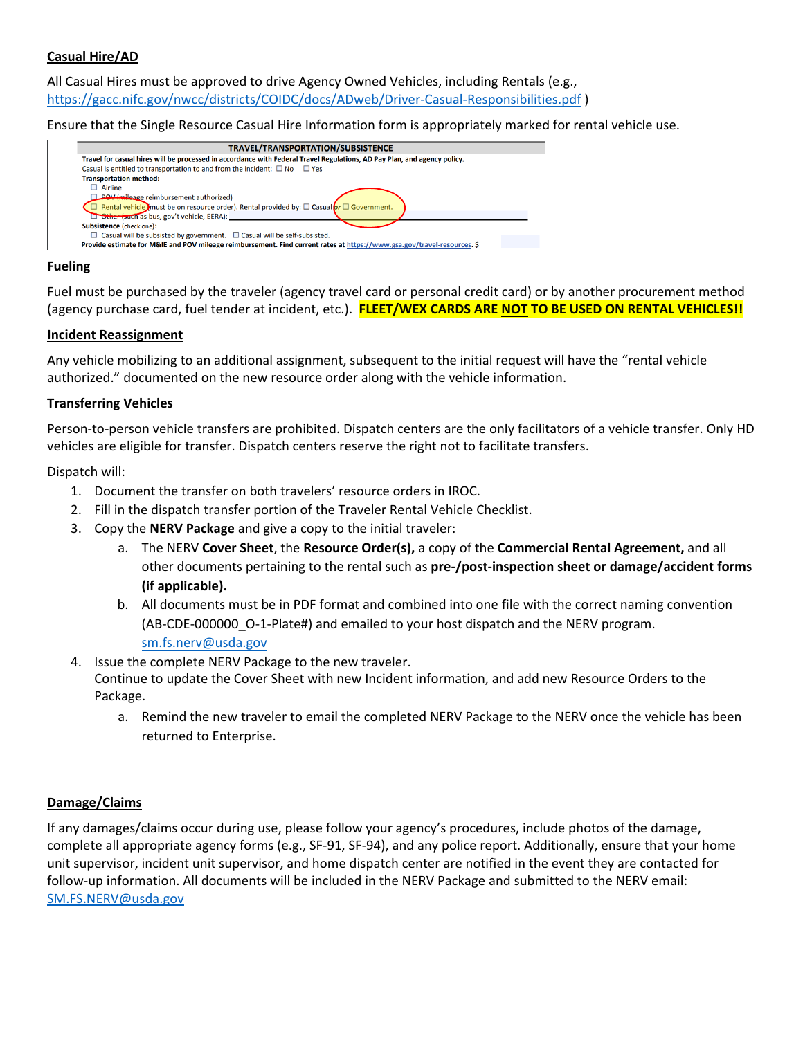## **Casual Hire/AD**

All Casual Hires must be approved to drive Agency Owned Vehicles, including Rentals (e.g., [https://gacc.nifc.gov/nwcc/districts/COIDC/docs/ADweb/Driver-Casual-Responsibilities.pdf \)](https://gacc.nifc.gov/nwcc/districts/COIDC/docs/ADweb/Driver-Casual-Responsibilities.pdf)

Ensure that the Single Resource Casual Hire Information form is appropriately marked for rental vehicle use.

| TRAVEL/TRANSPORTATION/SUBSISTENCE                                                                                        |  |  |  |  |  |
|--------------------------------------------------------------------------------------------------------------------------|--|--|--|--|--|
| Travel for casual hires will be processed in accordance with Federal Travel Regulations, AD Pay Plan, and agency policy. |  |  |  |  |  |
| Casual is entitled to transportation to and from the incident: $\square$ No $\square$ Yes                                |  |  |  |  |  |
| <b>Transportation method:</b>                                                                                            |  |  |  |  |  |
| Airline                                                                                                                  |  |  |  |  |  |
| <b>POV</b> (mileage reimbursement authorized)                                                                            |  |  |  |  |  |
| Rental vehicle must be on resource order). Rental provided by: $\square$ Casual or $\square$ Government.                 |  |  |  |  |  |
| Other (such as bus, gov't vehicle, EERA):                                                                                |  |  |  |  |  |
| <b>Subsistence (check one):</b>                                                                                          |  |  |  |  |  |
| $\Box$ Casual will be subsisted by government. $\Box$ Casual will be self-subsisted.                                     |  |  |  |  |  |
| Provide estimate for M&IE and POV mileage reimbursement. Find current rates at https://www.gsa.gov/travel-resources. \$  |  |  |  |  |  |
|                                                                                                                          |  |  |  |  |  |

#### **Fueling**

Fuel must be purchased by the traveler (agency travel card or personal credit card) or by another procurement method (agency purchase card, fuel tender at incident, etc.). **FLEET/WEX CARDS ARE NOT TO BE USED ON RENTAL VEHICLES!!**

#### **Incident Reassignment**

Any vehicle mobilizing to an additional assignment, subsequent to the initial request will have the "rental vehicle authorized." documented on the new resource order along with the vehicle information.

#### **Transferring Vehicles**

Person-to-person vehicle transfers are prohibited. Dispatch centers are the only facilitators of a vehicle transfer. Only HD vehicles are eligible for transfer. Dispatch centers reserve the right not to facilitate transfers.

Dispatch will:

- 1. Document the transfer on both travelers' resource orders in IROC.
- 2. Fill in the dispatch transfer portion of the Traveler Rental Vehicle Checklist.
- 3. Copy the **NERV Package** and give a copy to the initial traveler:
	- a. The NERV **Cover Sheet**, the **Resource Order(s),** a copy of the **Commercial Rental Agreement,** and all other documents pertaining to the rental such as **pre-/post-inspection sheet or damage/accident forms (if applicable).**
	- b. All documents must be in PDF format and combined into one file with the correct naming convention (AB-CDE-000000 O-1-Plate#) and emailed to your host dispatch and the NERV program. [sm.fs.nerv@usda.gov](mailto:sm.fs.nerv@usda.gov)
- 4. Issue the complete NERV Package to the new traveler.

Continue to update the Cover Sheet with new Incident information, and add new Resource Orders to the Package.

a. Remind the new traveler to email the completed NERV Package to the NERV once the vehicle has been returned to Enterprise.

#### **Damage/Claims**

If any damages/claims occur during use, please follow your agency's procedures, include photos of the damage, complete all appropriate agency forms (e.g., SF-91, SF-94), and any police report. Additionally, ensure that your home unit supervisor, incident unit supervisor, and home dispatch center are notified in the event they are contacted for follow-up information. All documents will be included in the NERV Package and submitted to the NERV email: [SM.FS.NERV@usda.gov](mailto:SM.FS.NERV@usda.gov)